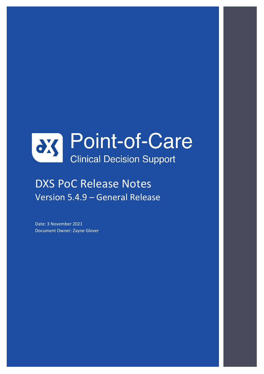

# DXS PoC Release Notes Version 5.4.9 – General Release

Date: 3 November 2021 Document Owner: Zayne Glover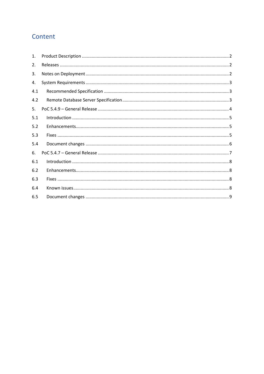# Content

| 1.  |  |
|-----|--|
| 2.  |  |
| 3.  |  |
| 4.  |  |
| 4.1 |  |
| 4.2 |  |
| 5.  |  |
| 5.1 |  |
| 5.2 |  |
| 5.3 |  |
| 5.4 |  |
| 6.  |  |
| 6.1 |  |
| 6.2 |  |
| 6.3 |  |
| 6.4 |  |
| 6.5 |  |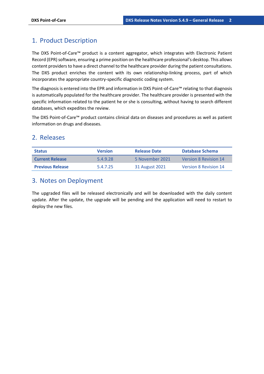# <span id="page-2-0"></span>1. Product Description

The DXS Point-of-Care™ product is a content aggregator, which integrates with Electronic Patient Record (EPR) software, ensuring a prime position on the healthcare professional's desktop. This allows content providers to have a direct channel to the healthcare provider during the patient consultations. The DXS product enriches the content with its own relationship-linking process, part of which incorporates the appropriate country-specific diagnostic coding system.

The diagnosis is entered into the EPR and information in DXS Point-of-Care™ relating to that diagnosis is automatically populated for the healthcare provider. The healthcare provider is presented with the specific information related to the patient he or she is consulting, without having to search different databases, which expedites the review.

The DXS Point-of-Care™ product contains clinical data on diseases and procedures as well as patient information on drugs and diseases.

### <span id="page-2-1"></span>2. Releases

| <b>Status</b>           | <b>Version</b> | <b>Release Date</b> | Database Schema              |
|-------------------------|----------------|---------------------|------------------------------|
| <b>Current Release</b>  | 5.4.9.28       | 5 November 2021     | Version 8 Revision 14        |
| <b>Previous Release</b> | 54725          | 31 August 2021      | <b>Version 8 Revision 14</b> |

# <span id="page-2-2"></span>3. Notes on Deployment

The upgraded files will be released electronically and will be downloaded with the daily content update. After the update, the upgrade will be pending and the application will need to restart to deploy the new files.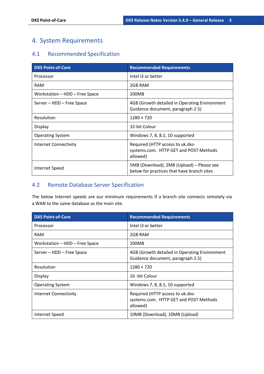# <span id="page-3-0"></span>4. System Requirements

# <span id="page-3-1"></span>4.1 Recommended Specification

| <b>DXS Point-of-Care</b>       | <b>Recommended Requirements</b>                                                         |
|--------------------------------|-----------------------------------------------------------------------------------------|
| Processor                      | Intel i3 or better                                                                      |
| <b>RAM</b>                     | 2GB RAM                                                                                 |
| Workstation - HDD - Free Space | 200MB                                                                                   |
| Server - HDD - Free Space      | 4GB (Growth detailed in Operating Environment<br>Guidance document, paragraph 2.5)      |
| Resolution                     | $1280 \times 720$                                                                       |
| Display                        | 32-bit Colour                                                                           |
| <b>Operating System</b>        | Windows 7, 8, 8.1, 10 supported                                                         |
| <b>Internet Connectivity</b>   | Required (HTTP access to uk.dxs-<br>systems.com. HTTP GET and POST Methods<br>allowed)  |
| Internet Speed                 | 5MB (Download), 2MB (Upload) – Please see<br>below for practices that have branch sites |

# <span id="page-3-2"></span>4.2 Remote Database Server Specification

The below Internet speeds are our minimum requirements if a branch site connects remotely via a WAN to the same database as the main site.

| <b>DXS Point-of-Care</b>       | <b>Recommended Requirements</b>                                                        |
|--------------------------------|----------------------------------------------------------------------------------------|
| Processor                      | Intel i3 or better                                                                     |
| <b>RAM</b>                     | 2GB RAM                                                                                |
| Workstation - HDD - Free Space | 200MB                                                                                  |
| Server – HDD – Free Space      | 4GB (Growth detailed in Operating Environment<br>Guidance document, paragraph 2.5)     |
| Resolution                     | $1280 \times 720$                                                                      |
| Display                        | 16 -bit Colour                                                                         |
| <b>Operating System</b>        | Windows 7, 8, 8.1, 10 supported                                                        |
| Internet Connectivity          | Required (HTTP access to uk.dxs-<br>systems.com. HTTP GET and POST Methods<br>allowed) |
| Internet Speed                 | 10MB (Download), 10MB (Upload)                                                         |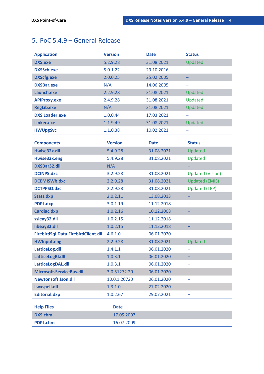# <span id="page-4-0"></span>5. PoC 5.4.9 – General Release

| <b>Application</b>                  | <b>Version</b> | <b>Date</b> | <b>Status</b>           |
|-------------------------------------|----------------|-------------|-------------------------|
| <b>DXS.exe</b>                      | 5.2.9.28       | 31.08.2021  | Updated                 |
| <b>DXSSch.exe</b>                   | 5.0.1.22       | 29.10.2016  |                         |
| <b>DXScfg.exe</b>                   | 2.0.0.25       | 25.02.2005  |                         |
| <b>DXSBar.exe</b>                   | N/A            | 14.06.2005  |                         |
| Launch.exe                          | 2.2.9.28       | 31.08.2021  | Updated                 |
| <b>APIProxy.exe</b>                 | 2.4.9.28       | 31.08.2021  | Updated                 |
| <b>RegLib.exe</b>                   | N/A            | 31.08.2021  | Updated                 |
| <b>DXS Loader.exe</b>               | 1.0.0.44       | 17.03.2021  |                         |
| Linker.exe                          | 1.1.9.49       | 31.08.2021  | Updated                 |
| <b>HWUpgSvc</b>                     | 1.1.0.38       | 10.02.2021  | -                       |
|                                     |                |             |                         |
| <b>Components</b>                   | <b>Version</b> | <b>Date</b> | <b>Status</b>           |
| Hwise32x.dll                        | 5.4.9.28       | 31.08.2021  | Updated                 |
| Hwise32x.eng                        | 5.4.9.28       | 31.08.2021  | Updated                 |
| <b>DXSBar32.dll</b>                 | N/A            |             |                         |
| <b>DCINPS.dxc</b>                   | 3.2.9.28       | 31.08.2021  | <b>Updated (Vision)</b> |
| <b>DCEMISWb.dxc</b>                 | 2.2.9.28       | 31.08.2021  | <b>Updated (EMIS)</b>   |
| <b>DCTPPSO.dxc</b>                  | 2.2.9.28       | 31.08.2021  | <b>Updated (TPP)</b>    |
| Stats.dxp                           | 2.0.2.11       | 13.08.2013  |                         |
| <b>PDPL.dxp</b>                     | 3.0.1.19       | 11.12.2018  |                         |
| Cardiac.dxp                         | 1.0.2.16       | 10.12.2008  |                         |
| ssleay32.dll                        | 1.0.2.15       | 11.12.2018  |                         |
| libeay32.dll                        | 1.0.2.15       | 11.12.2018  |                         |
| FirebirdSql.Data.FirebirdClient.dll | 4.6.1.0        | 06.01.2020  |                         |
| <b>HWInput.eng</b>                  | 2.2.9.28       | 31.08.2021  | Updated                 |
| LatticeLog.dll                      | 1.4.1.1        | 06.01.2020  |                         |
| LatticeLogBI.dll                    | 1.0.3.1        | 06.01.2020  |                         |
| LatticeLogDAL.dll                   | 1.0.3.1        | 06.01.2020  |                         |
| Microsoft.ServiceBus.dll            | 3.0.51272.20   | 06.01.2020  |                         |
| Newtonsoft.Json.dll                 | 10.0.1.20720   | 06.01.2020  |                         |
| Lwxspell.dll                        | 1.3.1.0        | 27.02.2020  |                         |
| <b>Editorial.dxp</b>                | 1.0.2.67       | 29.07.2021  |                         |
| <b>Help Files</b>                   | <b>Date</b>    |             |                         |
| <b>DXS.chm</b>                      | 17.05.2007     |             |                         |
| <b>PDPL.chm</b>                     | 16.07.2009     |             |                         |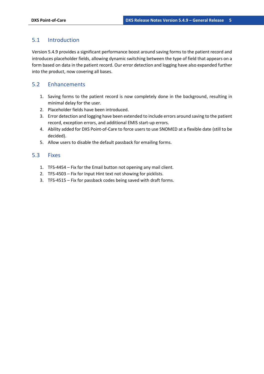#### <span id="page-5-0"></span>5.1 Introduction

Version 5.4.9 provides a significant performance boost around saving forms to the patient record and introduces placeholder fields, allowing dynamic switching between the type of field that appears on a form based on data in the patient record. Our error detection and logging have also expanded further into the product, now covering all bases.

#### <span id="page-5-1"></span>5.2 Enhancements

- 1. Saving forms to the patient record is now completely done in the background, resulting in minimal delay for the user.
- 2. Placeholder fields have been introduced.
- 3. Error detection and logging have been extended to include errors around saving to the patient record, exception errors, and additional EMIS start-up errors.
- 4. Ability added for DXS Point-of-Care to force users to use SNOMED at a flexible date (still to be decided).
- 5. Allow users to disable the default passback for emailing forms.

#### <span id="page-5-2"></span>5.3 Fixes

- 1. TFS-4454 Fix for the Email button not opening any mail client.
- 2. TFS-4503 Fix for Input Hint text not showing for picklists.
- 3. TFS-4515 Fix for passback codes being saved with draft forms.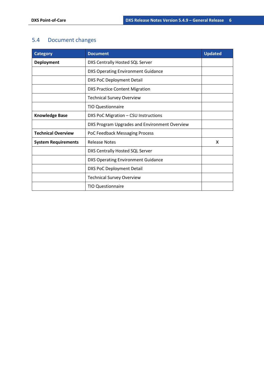# <span id="page-6-0"></span>5.4 Document changes

| <b>Category</b>            | <b>Document</b>                               | <b>Updated</b> |
|----------------------------|-----------------------------------------------|----------------|
| Deployment                 | DXS Centrally Hosted SQL Server               |                |
|                            | <b>DXS Operating Environment Guidance</b>     |                |
|                            | <b>DXS PoC Deployment Detail</b>              |                |
|                            | <b>DXS Practice Content Migration</b>         |                |
|                            | <b>Technical Survey Overview</b>              |                |
|                            | <b>TIO Questionnaire</b>                      |                |
| <b>Knowledge Base</b>      | DXS PoC Migration - CSU Instructions          |                |
|                            | DXS Program Upgrades and Environment Overview |                |
| <b>Technical Overview</b>  | PoC Feedback Messaging Process                |                |
| <b>System Requirements</b> | <b>Release Notes</b>                          | X              |
|                            | DXS Centrally Hosted SQL Server               |                |
|                            | <b>DXS Operating Environment Guidance</b>     |                |
|                            | <b>DXS PoC Deployment Detail</b>              |                |
|                            | <b>Technical Survey Overview</b>              |                |
|                            | <b>TIO Questionnaire</b>                      |                |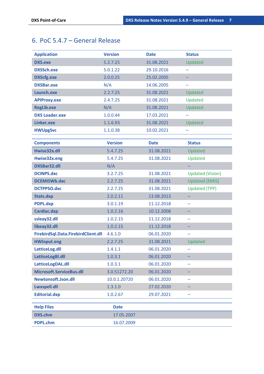# <span id="page-7-0"></span>6. PoC 5.4.7 – General Release

| <b>Application</b>                  | <b>Version</b> | <b>Date</b> | <b>Status</b>           |
|-------------------------------------|----------------|-------------|-------------------------|
| <b>DXS.exe</b>                      | 5.2.7.25       | 31.08.2021  | Updated                 |
| <b>DXSSch.exe</b>                   | 5.0.1.22       | 29.10.2016  |                         |
| <b>DXScfg.exe</b>                   | 2.0.0.25       | 25.02.2005  | -                       |
| <b>DXSBar.exe</b>                   | N/A            | 14.06.2005  |                         |
| Launch.exe                          | 2.2.7.25       | 31.08.2021  | Updated                 |
| <b>APIProxy.exe</b>                 | 2.4.7.25       | 31.08.2021  | Updated                 |
| <b>RegLib.exe</b>                   | N/A            | 31.08.2021  | Updated                 |
| <b>DXS Loader.exe</b>               | 1.0.0.44       | 17.03.2021  |                         |
| Linker.exe                          | 1.1.6.93       | 31.08.2021  | Updated                 |
| <b>HWUpgSvc</b>                     | 1.1.0.38       | 10.02.2021  |                         |
|                                     |                |             |                         |
| <b>Components</b>                   | <b>Version</b> | <b>Date</b> | <b>Status</b>           |
| Hwise32x.dll                        | 5.4.7.25       | 31.08.2021  | Updated                 |
| Hwise32x.eng                        | 5.4.7.25       | 31.08.2021  | Updated                 |
| <b>DXSBar32.dll</b>                 | N/A            |             |                         |
| <b>DCINPS.dxc</b>                   | 3.2.7.25       | 31.08.2021  | <b>Updated (Vision)</b> |
| <b>DCEMISWb.dxc</b>                 | 2.2.7.25       | 31.08.2021  | <b>Updated (EMIS)</b>   |
| <b>DCTPPSO.dxc</b>                  | 2.2.7.25       | 31.08.2021  | <b>Updated (TPP)</b>    |
| Stats.dxp                           | 2.0.2.11       | 13.08.2013  |                         |
| <b>PDPL.dxp</b>                     | 3.0.1.19       | 11.12.2018  |                         |
| Cardiac.dxp                         | 1.0.2.16       | 10.12.2008  |                         |
| ssleay32.dll                        | 1.0.2.15       | 11.12.2018  | -                       |
| libeay32.dll                        | 1.0.2.15       | 11.12.2018  |                         |
| FirebirdSql.Data.FirebirdClient.dll | 4.6.1.0        | 06.01.2020  |                         |
| <b>HWInput.eng</b>                  | 2.2.7.25       | 31.08.2021  | Updated                 |
| LatticeLog.dll                      | 1.4.1.1        | 06.01.2020  |                         |
| LatticeLogBI.dll                    | 1.0.3.1        | 06.01.2020  |                         |
| LatticeLogDAL.dll                   | 1.0.3.1        | 06.01.2020  |                         |
| Microsoft.ServiceBus.dll            | 3.0.51272.20   | 06.01.2020  |                         |
| Newtonsoft.Json.dll                 | 10.0.1.20720   | 06.01.2020  |                         |
| Lwxspell.dll                        | 1.3.1.0        | 27.02.2020  |                         |
| <b>Editorial.dxp</b>                | 1.0.2.67       | 29.07.2021  |                         |
| <b>Help Files</b>                   | <b>Date</b>    |             |                         |
| <b>DXS.chm</b>                      |                |             |                         |
|                                     | 17.05.2007     |             |                         |
| <b>PDPL.chm</b>                     | 16.07.2009     |             |                         |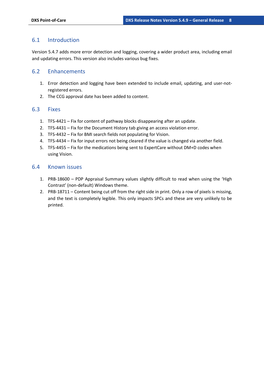#### <span id="page-8-0"></span>6.1 Introduction

Version 5.4.7 adds more error detection and logging, covering a wider product area, including email and updating errors. This version also includes various bug fixes.

#### <span id="page-8-1"></span>6.2 Enhancements

- 1. Error detection and logging have been extended to include email, updating, and user-notregistered errors.
- 2. The CCG approval date has been added to content.

#### <span id="page-8-2"></span>6.3 Fixes

- 1. TFS-4421 Fix for content of pathway blocks disappearing after an update.
- 2. TFS-4431 Fix for the Document History tab giving an access violation error.
- 3. TFS-4432 Fix for BMI search fields not populating for Vision.
- 4. TFS-4434 Fix for input errors not being cleared if the value is changed via another field.
- 5. TFS-4455 Fix for the medications being sent to ExpertCare without DM+D codes when using Vision.

#### <span id="page-8-3"></span>6.4 Known issues

- 1. PRB-18600 PDP Appraisal Summary values slightly difficult to read when using the 'High Contrast' (non-default) Windows theme.
- 2. PRB-18711 Content being cut off from the right side in print. Only a row of pixels is missing, and the text is completely legible. This only impacts SPCs and these are very unlikely to be printed.